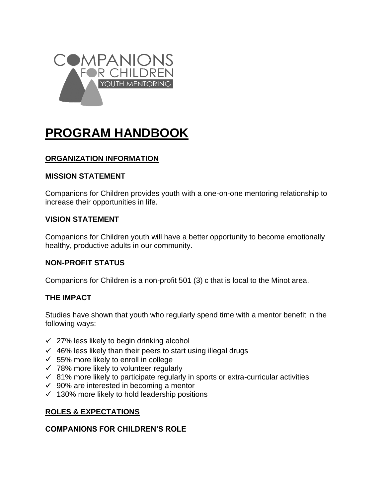

# **PROGRAM HANDBOOK**

# **ORGANIZATION INFORMATION**

#### **MISSION STATEMENT**

Companions for Children provides youth with a one-on-one mentoring relationship to increase their opportunities in life.

#### **VISION STATEMENT**

Companions for Children youth will have a better opportunity to become emotionally healthy, productive adults in our community.

#### **NON-PROFIT STATUS**

Companions for Children is a non-profit 501 (3) c that is local to the Minot area.

#### **THE IMPACT**

Studies have shown that youth who regularly spend time with a mentor benefit in the following ways:

- $\checkmark$  27% less likely to begin drinking alcohol
- $46\%$  less likely than their peers to start using illegal drugs
- $\checkmark$  55% more likely to enroll in college
- $\checkmark$  78% more likely to volunteer regularly
- $\checkmark$  81% more likely to participate regularly in sports or extra-curricular activities
- $\checkmark$  90% are interested in becoming a mentor
- $\checkmark$  130% more likely to hold leadership positions

#### **ROLES & EXPECTATIONS**

#### **COMPANIONS FOR CHILDREN'S ROLE**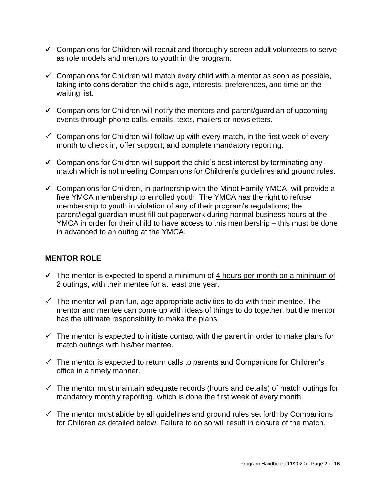- $\checkmark$  Companions for Children will recruit and thoroughly screen adult volunteers to serve as role models and mentors to youth in the program.
- $\checkmark$  Companions for Children will match every child with a mentor as soon as possible, taking into consideration the child's age, interests, preferences, and time on the waiting list.
- $\checkmark$  Companions for Children will notify the mentors and parent/guardian of upcoming events through phone calls, emails, texts, mailers or newsletters.
- $\checkmark$  Companions for Children will follow up with every match, in the first week of every month to check in, offer support, and complete mandatory reporting.
- $\checkmark$  Companions for Children will support the child's best interest by terminating any match which is not meeting Companions for Children's guidelines and ground rules.
- $\checkmark$  Companions for Children, in partnership with the Minot Family YMCA, will provide a free YMCA membership to enrolled youth. The YMCA has the right to refuse membership to youth in violation of any of their program's regulations; the parent/legal guardian must fill out paperwork during normal business hours at the YMCA in order for their child to have access to this membership – this must be done in advanced to an outing at the YMCA.

## **MENTOR ROLE**

- $\checkmark$  The mentor is expected to spend a minimum of  $\frac{4 \text{ hours}}{4 \text{ hours}}$  per month on a minimum of 2 outings, with their mentee for at least one year.
- $\checkmark$  The mentor will plan fun, age appropriate activities to do with their mentee. The mentor and mentee can come up with ideas of things to do together, but the mentor has the ultimate responsibility to make the plans.
- $\checkmark$  The mentor is expected to initiate contact with the parent in order to make plans for match outings with his/her mentee.
- $\checkmark$  The mentor is expected to return calls to parents and Companions for Children's office in a timely manner.
- $\checkmark$  The mentor must maintain adequate records (hours and details) of match outings for mandatory monthly reporting, which is done the first week of every month.
- $\checkmark$  The mentor must abide by all guidelines and ground rules set forth by Companions for Children as detailed below. Failure to do so will result in closure of the match.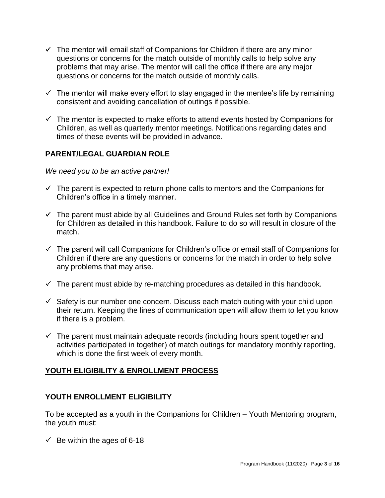- $\checkmark$  The mentor will email staff of Companions for Children if there are any minor questions or concerns for the match outside of monthly calls to help solve any problems that may arise. The mentor will call the office if there are any major questions or concerns for the match outside of monthly calls.
- $\checkmark$  The mentor will make every effort to stay engaged in the mentee's life by remaining consistent and avoiding cancellation of outings if possible.
- $\checkmark$  The mentor is expected to make efforts to attend events hosted by Companions for Children, as well as quarterly mentor meetings. Notifications regarding dates and times of these events will be provided in advance.

# **PARENT/LEGAL GUARDIAN ROLE**

#### *We need you to be an active partner!*

- $\checkmark$  The parent is expected to return phone calls to mentors and the Companions for Children's office in a timely manner.
- $\checkmark$  The parent must abide by all Guidelines and Ground Rules set forth by Companions for Children as detailed in this handbook. Failure to do so will result in closure of the match.
- $\checkmark$  The parent will call Companions for Children's office or email staff of Companions for Children if there are any questions or concerns for the match in order to help solve any problems that may arise.
- $\checkmark$  The parent must abide by re-matching procedures as detailed in this handbook.
- $\checkmark$  Safety is our number one concern. Discuss each match outing with your child upon their return. Keeping the lines of communication open will allow them to let you know if there is a problem.
- $\checkmark$  The parent must maintain adequate records (including hours spent together and activities participated in together) of match outings for mandatory monthly reporting, which is done the first week of every month.

## **YOUTH ELIGIBILITY & ENROLLMENT PROCESS**

## **YOUTH ENROLLMENT ELIGIBILITY**

To be accepted as a youth in the Companions for Children – Youth Mentoring program, the youth must:

 $\checkmark$  Be within the ages of 6-18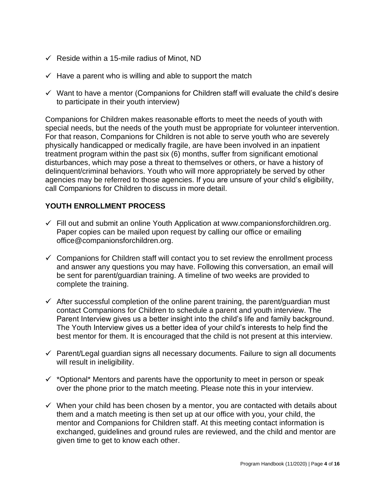- $\checkmark$  Reside within a 15-mile radius of Minot, ND
- $\checkmark$  Have a parent who is willing and able to support the match
- $\checkmark$  Want to have a mentor (Companions for Children staff will evaluate the child's desire to participate in their youth interview)

Companions for Children makes reasonable efforts to meet the needs of youth with special needs, but the needs of the youth must be appropriate for volunteer intervention. For that reason, Companions for Children is not able to serve youth who are severely physically handicapped or medically fragile, are have been involved in an inpatient treatment program within the past six (6) months, suffer from significant emotional disturbances, which may pose a threat to themselves or others, or have a history of delinquent/criminal behaviors. Youth who will more appropriately be served by other agencies may be referred to those agencies. If you are unsure of your child's eligibility, call Companions for Children to discuss in more detail.

## **YOUTH ENROLLMENT PROCESS**

- $\checkmark$  Fill out and submit an online Youth Application at www.companionsforchildren.org. Paper copies can be mailed upon request by calling our office or emailing office@companionsforchildren.org.
- $\checkmark$  Companions for Children staff will contact you to set review the enrollment process and answer any questions you may have. Following this conversation, an email will be sent for parent/guardian training. A timeline of two weeks are provided to complete the training.
- $\checkmark$  After successful completion of the online parent training, the parent/guardian must contact Companions for Children to schedule a parent and youth interview. The Parent Interview gives us a better insight into the child's life and family background. The Youth Interview gives us a better idea of your child's interests to help find the best mentor for them. It is encouraged that the child is not present at this interview.
- $\checkmark$  Parent/Legal guardian signs all necessary documents. Failure to sign all documents will result in ineligibility.
- $\checkmark$  \*Optional\* Mentors and parents have the opportunity to meet in person or speak over the phone prior to the match meeting. Please note this in your interview.
- $\checkmark$  When your child has been chosen by a mentor, you are contacted with details about them and a match meeting is then set up at our office with you, your child, the mentor and Companions for Children staff. At this meeting contact information is exchanged, guidelines and ground rules are reviewed, and the child and mentor are given time to get to know each other.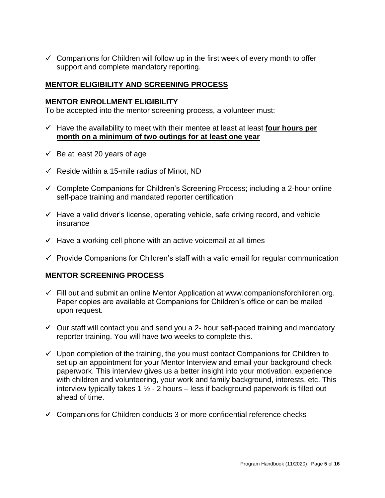$\checkmark$  Companions for Children will follow up in the first week of every month to offer support and complete mandatory reporting.

#### **MENTOR ELIGIBILITY AND SCREENING PROCESS**

#### **MENTOR ENROLLMENT ELIGIBILITY**

To be accepted into the mentor screening process, a volunteer must:

- $\checkmark$  Have the availability to meet with their mentee at least at least **four hours per month on a minimum of two outings for at least one year**
- $\checkmark$  Be at least 20 years of age
- $\checkmark$  Reside within a 15-mile radius of Minot, ND
- $\checkmark$  Complete Companions for Children's Screening Process; including a 2-hour online self-pace training and mandated reporter certification
- $\checkmark$  Have a valid driver's license, operating vehicle, safe driving record, and vehicle insurance
- $\checkmark$  Have a working cell phone with an active voicemail at all times
- $\checkmark$  Provide Companions for Children's staff with a valid email for regular communication

#### **MENTOR SCREENING PROCESS**

- $\checkmark$  Fill out and submit an online Mentor Application at www.companionsforchildren.org. Paper copies are available at Companions for Children's office or can be mailed upon request.
- $\checkmark$  Our staff will contact you and send you a 2- hour self-paced training and mandatory reporter training. You will have two weeks to complete this.
- $\checkmark$  Upon completion of the training, the you must contact Companions for Children to set up an appointment for your Mentor Interview and email your background check paperwork. This interview gives us a better insight into your motivation, experience with children and volunteering, your work and family background, interests, etc. This interview typically takes 1  $\frac{1}{2}$  - 2 hours – less if background paperwork is filled out ahead of time.
- $\checkmark$  Companions for Children conducts 3 or more confidential reference checks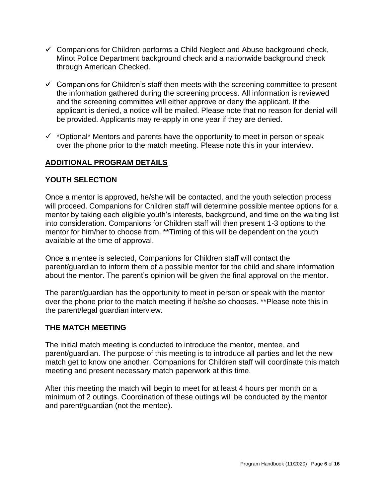- $\checkmark$  Companions for Children performs a Child Neglect and Abuse background check, Minot Police Department background check and a nationwide background check through American Checked.
- $\checkmark$  Companions for Children's staff then meets with the screening committee to present the information gathered during the screening process. All information is reviewed and the screening committee will either approve or deny the applicant. If the applicant is denied, a notice will be mailed. Please note that no reason for denial will be provided. Applicants may re-apply in one year if they are denied.
- $\checkmark$  \*Optional\* Mentors and parents have the opportunity to meet in person or speak over the phone prior to the match meeting. Please note this in your interview.

# **ADDITIONAL PROGRAM DETAILS**

#### **YOUTH SELECTION**

Once a mentor is approved, he/she will be contacted, and the youth selection process will proceed. Companions for Children staff will determine possible mentee options for a mentor by taking each eligible youth's interests, background, and time on the waiting list into consideration. Companions for Children staff will then present 1-3 options to the mentor for him/her to choose from. \*\*Timing of this will be dependent on the youth available at the time of approval.

Once a mentee is selected, Companions for Children staff will contact the parent/guardian to inform them of a possible mentor for the child and share information about the mentor. The parent's opinion will be given the final approval on the mentor.

The parent/guardian has the opportunity to meet in person or speak with the mentor over the phone prior to the match meeting if he/she so chooses. \*\*Please note this in the parent/legal guardian interview.

#### **THE MATCH MEETING**

The initial match meeting is conducted to introduce the mentor, mentee, and parent/guardian. The purpose of this meeting is to introduce all parties and let the new match get to know one another. Companions for Children staff will coordinate this match meeting and present necessary match paperwork at this time.

After this meeting the match will begin to meet for at least 4 hours per month on a minimum of 2 outings. Coordination of these outings will be conducted by the mentor and parent/guardian (not the mentee).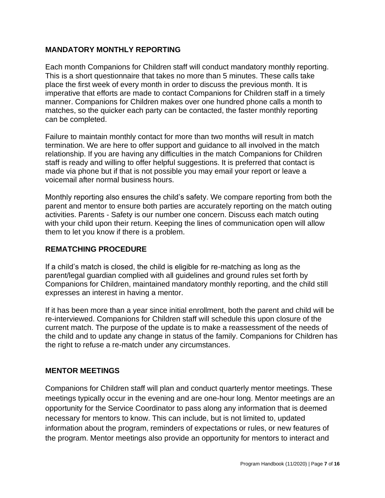#### **MANDATORY MONTHLY REPORTING**

Each month Companions for Children staff will conduct mandatory monthly reporting. This is a short questionnaire that takes no more than 5 minutes. These calls take place the first week of every month in order to discuss the previous month. It is imperative that efforts are made to contact Companions for Children staff in a timely manner. Companions for Children makes over one hundred phone calls a month to matches, so the quicker each party can be contacted, the faster monthly reporting can be completed.

Failure to maintain monthly contact for more than two months will result in match termination. We are here to offer support and guidance to all involved in the match relationship. If you are having any difficulties in the match Companions for Children staff is ready and willing to offer helpful suggestions. It is preferred that contact is made via phone but if that is not possible you may email your report or leave a voicemail after normal business hours.

Monthly reporting also ensures the child's safety. We compare reporting from both the parent and mentor to ensure both parties are accurately reporting on the match outing activities. Parents - Safety is our number one concern. Discuss each match outing with your child upon their return. Keeping the lines of communication open will allow them to let you know if there is a problem.

#### **REMATCHING PROCEDURE**

If a child's match is closed, the child is eligible for re-matching as long as the parent/legal guardian complied with all guidelines and ground rules set forth by Companions for Children, maintained mandatory monthly reporting, and the child still expresses an interest in having a mentor.

If it has been more than a year since initial enrollment, both the parent and child will be re-interviewed. Companions for Children staff will schedule this upon closure of the current match. The purpose of the update is to make a reassessment of the needs of the child and to update any change in status of the family. Companions for Children has the right to refuse a re-match under any circumstances.

## **MENTOR MEETINGS**

Companions for Children staff will plan and conduct quarterly mentor meetings. These meetings typically occur in the evening and are one-hour long. Mentor meetings are an opportunity for the Service Coordinator to pass along any information that is deemed necessary for mentors to know. This can include, but is not limited to, updated information about the program, reminders of expectations or rules, or new features of the program. Mentor meetings also provide an opportunity for mentors to interact and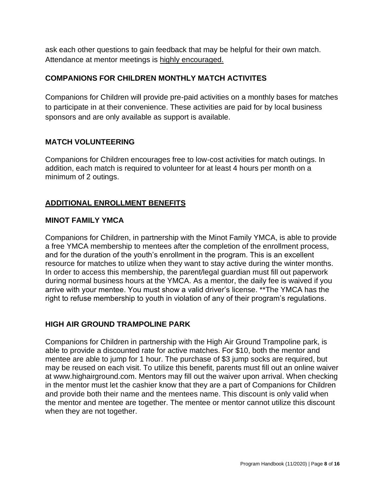ask each other questions to gain feedback that may be helpful for their own match. Attendance at mentor meetings is highly encouraged.

## **COMPANIONS FOR CHILDREN MONTHLY MATCH ACTIVITES**

Companions for Children will provide pre-paid activities on a monthly bases for matches to participate in at their convenience. These activities are paid for by local business sponsors and are only available as support is available.

## **MATCH VOLUNTEERING**

Companions for Children encourages free to low-cost activities for match outings. In addition, each match is required to volunteer for at least 4 hours per month on a minimum of 2 outings.

# **ADDITIONAL ENROLLMENT BENEFITS**

## **MINOT FAMILY YMCA**

Companions for Children, in partnership with the Minot Family YMCA, is able to provide a free YMCA membership to mentees after the completion of the enrollment process, and for the duration of the youth's enrollment in the program. This is an excellent resource for matches to utilize when they want to stay active during the winter months. In order to access this membership, the parent/legal guardian must fill out paperwork during normal business hours at the YMCA. As a mentor, the daily fee is waived if you arrive with your mentee. You must show a valid driver's license. \*\*The YMCA has the right to refuse membership to youth in violation of any of their program's regulations.

# **HIGH AIR GROUND TRAMPOLINE PARK**

Companions for Children in partnership with the High Air Ground Trampoline park, is able to provide a discounted rate for active matches. For \$10, both the mentor and mentee are able to jump for 1 hour. The purchase of \$3 jump socks are required, but may be reused on each visit. To utilize this benefit, parents must fill out an online waiver at www.highairground.com. Mentors may fill out the waiver upon arrival. When checking in the mentor must let the cashier know that they are a part of Companions for Children and provide both their name and the mentees name. This discount is only valid when the mentor and mentee are together. The mentee or mentor cannot utilize this discount when they are not together.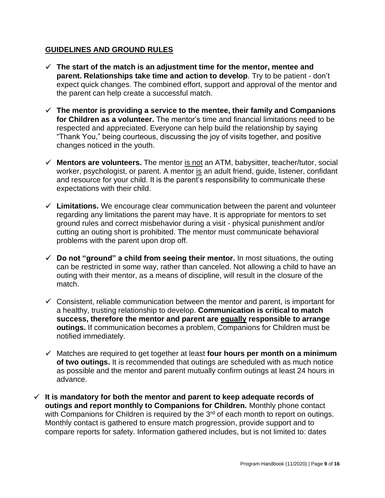#### **GUIDELINES AND GROUND RULES**

- **The start of the match is an adjustment time for the mentor, mentee and parent. Relationships take time and action to develop**. Try to be patient - don't expect quick changes. The combined effort, support and approval of the mentor and the parent can help create a successful match.
- **The mentor is providing a service to the mentee, their family and Companions for Children as a volunteer.** The mentor's time and financial limitations need to be respected and appreciated. Everyone can help build the relationship by saying "Thank You," being courteous, discussing the joy of visits together, and positive changes noticed in the youth.
- **Mentors are volunteers.** The mentor is not an ATM, babysitter, teacher/tutor, social worker, psychologist, or parent. A mentor is an adult friend, guide, listener, confidant and resource for your child. It is the parent's responsibility to communicate these expectations with their child.
- $\checkmark$  Limitations. We encourage clear communication between the parent and volunteer regarding any limitations the parent may have. It is appropriate for mentors to set ground rules and correct misbehavior during a visit - physical punishment and/or cutting an outing short is prohibited. The mentor must communicate behavioral problems with the parent upon drop off.
- $\checkmark$  Do not "ground" a child from seeing their mentor. In most situations, the outing can be restricted in some way, rather than canceled. Not allowing a child to have an outing with their mentor, as a means of discipline, will result in the closure of the match.
- $\checkmark$  Consistent, reliable communication between the mentor and parent, is important for a healthy, trusting relationship to develop. **Communication is critical to match success, therefore the mentor and parent are equally responsible to arrange outings.** If communication becomes a problem, Companions for Children must be notified immediately.
- Matches are required to get together at least **four hours per month on a minimum of two outings.** It is recommended that outings are scheduled with as much notice as possible and the mentor and parent mutually confirm outings at least 24 hours in advance.
- $\checkmark$  It is mandatory for both the mentor and parent to keep adequate records of **outings and report monthly to Companions for Children.** Monthly phone contact with Companions for Children is required by the  $3<sup>rd</sup>$  of each month to report on outings. Monthly contact is gathered to ensure match progression, provide support and to compare reports for safety. Information gathered includes, but is not limited to: dates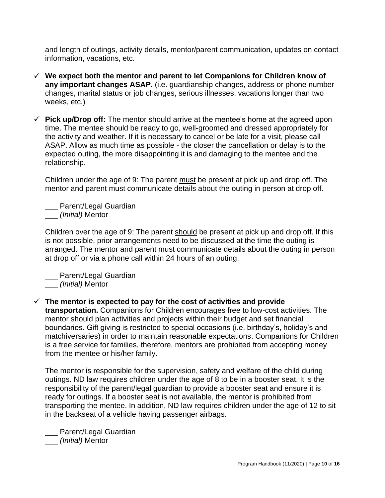and length of outings, activity details, mentor/parent communication, updates on contact information, vacations, etc.

- **We expect both the mentor and parent to let Companions for Children know of any important changes ASAP.** (i.e. guardianship changes, address or phone number changes, marital status or job changes, serious illnesses, vacations longer than two weeks, etc.)
- **Pick up/Drop off:** The mentor should arrive at the mentee's home at the agreed upon time. The mentee should be ready to go, well-groomed and dressed appropriately for the activity and weather. If it is necessary to cancel or be late for a visit, please call ASAP. Allow as much time as possible - the closer the cancellation or delay is to the expected outing, the more disappointing it is and damaging to the mentee and the relationship.

Children under the age of 9: The parent must be present at pick up and drop off. The mentor and parent must communicate details about the outing in person at drop off.

Parent/Legal Guardian \_\_\_ *(Initial)* Mentor

Children over the age of 9: The parent should be present at pick up and drop off. If this is not possible, prior arrangements need to be discussed at the time the outing is arranged. The mentor and parent must communicate details about the outing in person at drop off or via a phone call within 24 hours of an outing.

\_\_\_ Parent/Legal Guardian

\_\_\_ *(Initial)* Mentor

 $\checkmark$  The mentor is expected to pay for the cost of activities and provide **transportation.** Companions for Children encourages free to low-cost activities. The mentor should plan activities and projects within their budget and set financial boundaries. Gift giving is restricted to special occasions (i.e. birthday's, holiday's and matchiversaries) in order to maintain reasonable expectations. Companions for Children is a free service for families, therefore, mentors are prohibited from accepting money from the mentee or his/her family.

The mentor is responsible for the supervision, safety and welfare of the child during outings. ND law requires children under the age of 8 to be in a booster seat. It is the responsibility of the parent/legal guardian to provide a booster seat and ensure it is ready for outings. If a booster seat is not available, the mentor is prohibited from transporting the mentee. In addition, ND law requires children under the age of 12 to sit in the backseat of a vehicle having passenger airbags.

\_\_\_ Parent/Legal Guardian \_\_\_ *(Initial)* Mentor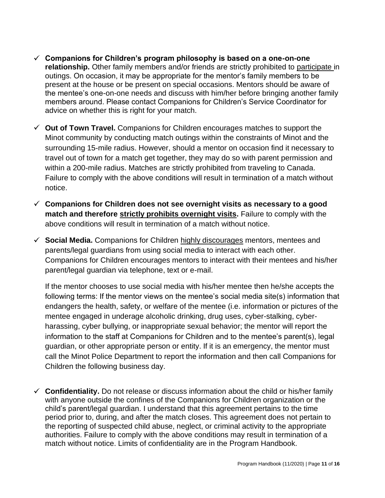- **Companions for Children's program philosophy is based on a one-on-one relationship.** Other family members and/or friends are strictly prohibited to participate in outings. On occasion, it may be appropriate for the mentor's family members to be present at the house or be present on special occasions. Mentors should be aware of the mentee's one-on-one needs and discuss with him/her before bringing another family members around. Please contact Companions for Children's Service Coordinator for advice on whether this is right for your match.
- **Out of Town Travel.** Companions for Children encourages matches to support the Minot community by conducting match outings within the constraints of Minot and the surrounding 15-mile radius. However, should a mentor on occasion find it necessary to travel out of town for a match get together, they may do so with parent permission and within a 200-mile radius. Matches are strictly prohibited from traveling to Canada. Failure to comply with the above conditions will result in termination of a match without notice.
- **Companions for Children does not see overnight visits as necessary to a good match and therefore strictly prohibits overnight visits.** Failure to comply with the above conditions will result in termination of a match without notice.
- **Social Media.** Companions for Children highly discourages mentors, mentees and parents/legal guardians from using social media to interact with each other. Companions for Children encourages mentors to interact with their mentees and his/her parent/legal guardian via telephone, text or e-mail.

If the mentor chooses to use social media with his/her mentee then he/she accepts the following terms: If the mentor views on the mentee's social media site(s) information that endangers the health, safety, or welfare of the mentee (i.e. information or pictures of the mentee engaged in underage alcoholic drinking, drug uses, cyber-stalking, cyberharassing, cyber bullying, or inappropriate sexual behavior; the mentor will report the information to the staff at Companions for Children and to the mentee's parent(s), legal guardian, or other appropriate person or entity. If it is an emergency, the mentor must call the Minot Police Department to report the information and then call Companions for Children the following business day.

**Confidentiality.** Do not release or discuss information about the child or his/her family with anyone outside the confines of the Companions for Children organization or the child's parent/legal guardian. I understand that this agreement pertains to the time period prior to, during, and after the match closes. This agreement does not pertain to the reporting of suspected child abuse, neglect, or criminal activity to the appropriate authorities. Failure to comply with the above conditions may result in termination of a match without notice. Limits of confidentiality are in the Program Handbook.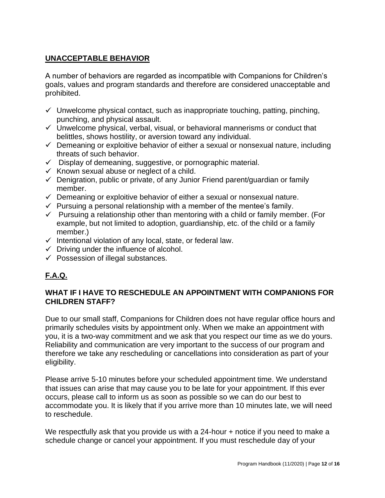# **UNACCEPTABLE BEHAVIOR**

A number of behaviors are regarded as incompatible with Companions for Children's goals, values and program standards and therefore are considered unacceptable and prohibited.

- $\checkmark$  Unwelcome physical contact, such as inappropriate touching, patting, pinching, punching, and physical assault.
- $\checkmark$  Unwelcome physical, verbal, visual, or behavioral mannerisms or conduct that belittles, shows hostility, or aversion toward any individual.
- $\checkmark$  Demeaning or exploitive behavior of either a sexual or nonsexual nature, including threats of such behavior.
- $\checkmark$  Display of demeaning, suggestive, or pornographic material.
- $\checkmark$  Known sexual abuse or neglect of a child.
- $\checkmark$  Denigration, public or private, of any Junior Friend parent/guardian or family member.
- $\checkmark$  Demeaning or exploitive behavior of either a sexual or nonsexual nature.
- $\checkmark$  Pursuing a personal relationship with a member of the mentee's family.
- $\checkmark$  Pursuing a relationship other than mentoring with a child or family member. (For example, but not limited to adoption, guardianship, etc. of the child or a family member.)
- $\checkmark$  Intentional violation of any local, state, or federal law.
- $\checkmark$  Driving under the influence of alcohol.
- $\checkmark$  Possession of illegal substances.

# **F.A.Q.**

#### **WHAT IF I HAVE TO RESCHEDULE AN APPOINTMENT WITH COMPANIONS FOR CHILDREN STAFF?**

Due to our small staff, Companions for Children does not have regular office hours and primarily schedules visits by appointment only. When we make an appointment with you, it is a two-way commitment and we ask that you respect our time as we do yours. Reliability and communication are very important to the success of our program and therefore we take any rescheduling or cancellations into consideration as part of your eligibility.

Please arrive 5-10 minutes before your scheduled appointment time. We understand that issues can arise that may cause you to be late for your appointment. If this ever occurs, please call to inform us as soon as possible so we can do our best to accommodate you. It is likely that if you arrive more than 10 minutes late, we will need to reschedule.

We respectfully ask that you provide us with a 24-hour + notice if you need to make a schedule change or cancel your appointment. If you must reschedule day of your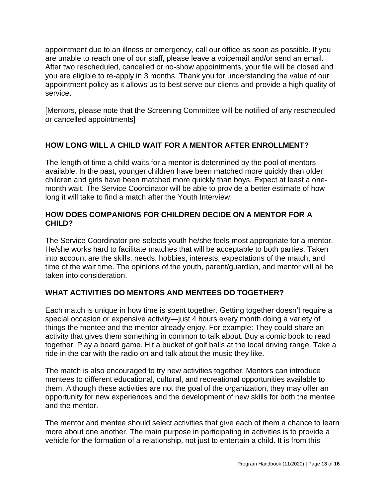appointment due to an illness or emergency, call our office as soon as possible. If you are unable to reach one of our staff, please leave a voicemail and/or send an email. After two rescheduled, cancelled or no-show appointments, your file will be closed and you are eligible to re-apply in 3 months. Thank you for understanding the value of our appointment policy as it allows us to best serve our clients and provide a high quality of service.

[Mentors, please note that the Screening Committee will be notified of any rescheduled or cancelled appointments]

# **HOW LONG WILL A CHILD WAIT FOR A MENTOR AFTER ENROLLMENT?**

The length of time a child waits for a mentor is determined by the pool of mentors available. In the past, younger children have been matched more quickly than older children and girls have been matched more quickly than boys. Expect at least a onemonth wait. The Service Coordinator will be able to provide a better estimate of how long it will take to find a match after the Youth Interview.

#### **HOW DOES COMPANIONS FOR CHILDREN DECIDE ON A MENTOR FOR A CHILD?**

The Service Coordinator pre-selects youth he/she feels most appropriate for a mentor. He/she works hard to facilitate matches that will be acceptable to both parties. Taken into account are the skills, needs, hobbies, interests, expectations of the match, and time of the wait time. The opinions of the youth, parent/guardian, and mentor will all be taken into consideration.

## **WHAT ACTIVITIES DO MENTORS AND MENTEES DO TOGETHER?**

Each match is unique in how time is spent together. Getting together doesn't require a special occasion or expensive activity—just 4 hours every month doing a variety of things the mentee and the mentor already enjoy. For example: They could share an activity that gives them something in common to talk about. Buy a comic book to read together. Play a board game. Hit a bucket of golf balls at the local driving range. Take a ride in the car with the radio on and talk about the music they like.

The match is also encouraged to try new activities together. Mentors can introduce mentees to different educational, cultural, and recreational opportunities available to them. Although these activities are not the goal of the organization, they may offer an opportunity for new experiences and the development of new skills for both the mentee and the mentor.

The mentor and mentee should select activities that give each of them a chance to learn more about one another. The main purpose in participating in activities is to provide a vehicle for the formation of a relationship, not just to entertain a child. It is from this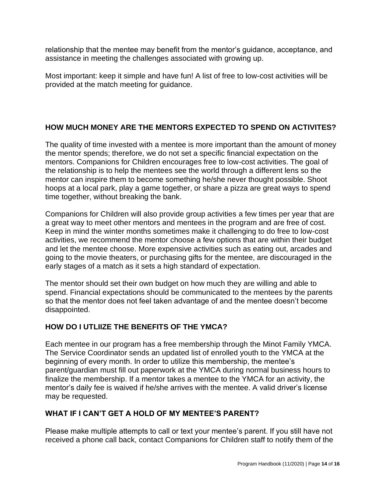relationship that the mentee may benefit from the mentor's guidance, acceptance, and assistance in meeting the challenges associated with growing up.

Most important: keep it simple and have fun! A list of free to low-cost activities will be provided at the match meeting for guidance.

# **HOW MUCH MONEY ARE THE MENTORS EXPECTED TO SPEND ON ACTIVITES?**

The quality of time invested with a mentee is more important than the amount of money the mentor spends; therefore, we do not set a specific financial expectation on the mentors. Companions for Children encourages free to low-cost activities. The goal of the relationship is to help the mentees see the world through a different lens so the mentor can inspire them to become something he/she never thought possible. Shoot hoops at a local park, play a game together, or share a pizza are great ways to spend time together, without breaking the bank.

Companions for Children will also provide group activities a few times per year that are a great way to meet other mentors and mentees in the program and are free of cost. Keep in mind the winter months sometimes make it challenging to do free to low-cost activities, we recommend the mentor choose a few options that are within their budget and let the mentee choose. More expensive activities such as eating out, arcades and going to the movie theaters, or purchasing gifts for the mentee, are discouraged in the early stages of a match as it sets a high standard of expectation.

The mentor should set their own budget on how much they are willing and able to spend. Financial expectations should be communicated to the mentees by the parents so that the mentor does not feel taken advantage of and the mentee doesn't become disappointed.

## **HOW DO I UTLIIZE THE BENEFITS OF THE YMCA?**

Each mentee in our program has a free membership through the Minot Family YMCA. The Service Coordinator sends an updated list of enrolled youth to the YMCA at the beginning of every month. In order to utilize this membership, the mentee's parent/guardian must fill out paperwork at the YMCA during normal business hours to finalize the membership. If a mentor takes a mentee to the YMCA for an activity, the mentor's daily fee is waived if he/she arrives with the mentee. A valid driver's license may be requested.

## **WHAT IF I CAN'T GET A HOLD OF MY MENTEE'S PARENT?**

Please make multiple attempts to call or text your mentee's parent. If you still have not received a phone call back, contact Companions for Children staff to notify them of the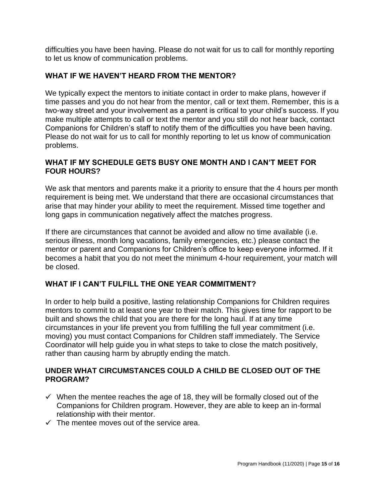difficulties you have been having. Please do not wait for us to call for monthly reporting to let us know of communication problems.

# **WHAT IF WE HAVEN'T HEARD FROM THE MENTOR?**

We typically expect the mentors to initiate contact in order to make plans, however if time passes and you do not hear from the mentor, call or text them. Remember, this is a two-way street and your involvement as a parent is critical to your child's success. If you make multiple attempts to call or text the mentor and you still do not hear back, contact Companions for Children's staff to notify them of the difficulties you have been having. Please do not wait for us to call for monthly reporting to let us know of communication problems.

## **WHAT IF MY SCHEDULE GETS BUSY ONE MONTH AND I CAN'T MEET FOR FOUR HOURS?**

We ask that mentors and parents make it a priority to ensure that the 4 hours per month requirement is being met. We understand that there are occasional circumstances that arise that may hinder your ability to meet the requirement. Missed time together and long gaps in communication negatively affect the matches progress.

If there are circumstances that cannot be avoided and allow no time available (i.e. serious illness, month long vacations, family emergencies, etc.) please contact the mentor or parent and Companions for Children's office to keep everyone informed. If it becomes a habit that you do not meet the minimum 4-hour requirement, your match will be closed.

# **WHAT IF I CAN'T FULFILL THE ONE YEAR COMMITMENT?**

In order to help build a positive, lasting relationship Companions for Children requires mentors to commit to at least one year to their match. This gives time for rapport to be built and shows the child that you are there for the long haul. If at any time circumstances in your life prevent you from fulfilling the full year commitment (i.e. moving) you must contact Companions for Children staff immediately. The Service Coordinator will help guide you in what steps to take to close the match positively, rather than causing harm by abruptly ending the match.

## **UNDER WHAT CIRCUMSTANCES COULD A CHILD BE CLOSED OUT OF THE PROGRAM?**

- $\checkmark$  When the mentee reaches the age of 18, they will be formally closed out of the Companions for Children program. However, they are able to keep an in-formal relationship with their mentor.
- $\checkmark$  The mentee moves out of the service area.